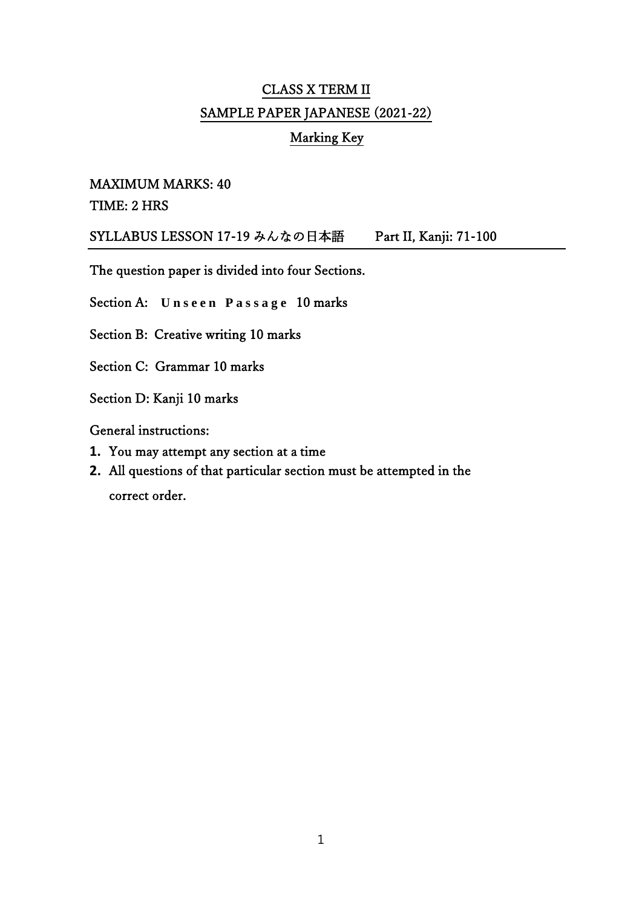# CLASS X TERM II SAMPLE PAPER JAPANESE (2021-22)

## Marking Key

#### MAXIMUM MARKS: 40

#### TIME: 2 HRS

SYLLABUS LESSON 17-19 みんなの日本語 Part II, Kanji: 71-100

The question paper is divided into four Sections.

Section A: Unseen Passage 10 marks

Section B: Creative writing 10 marks

Section C: Grammar 10 marks

Section D: Kanji 10 marks

General instructions:

- **1.** You may attempt any section at a time
- **2.** All questions of that particular section must be attempted in the correct order.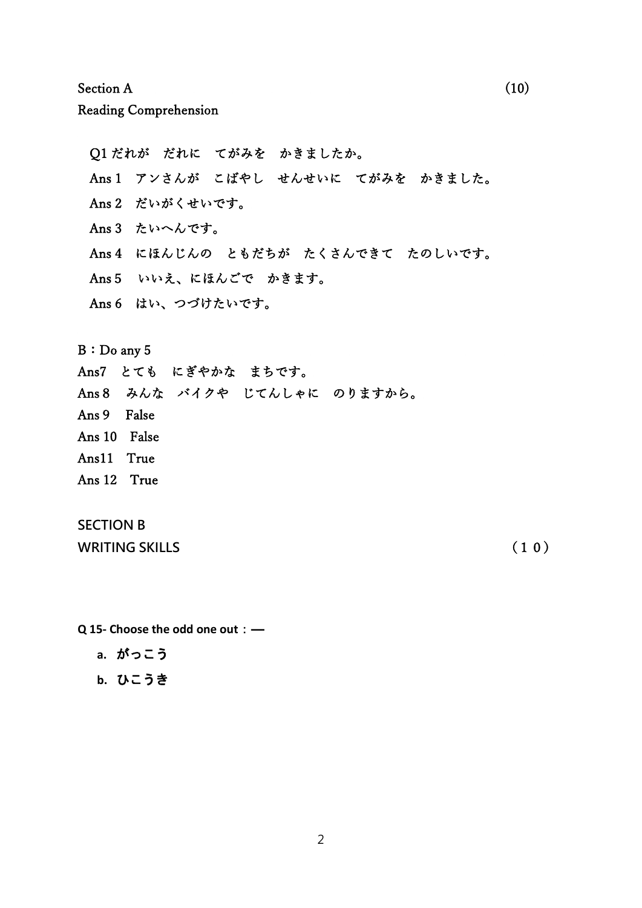Section A  $(10)$ 

Reading Comprehension

Q1 だれが だれに てがみを かきましたか。 Ans 1 アンさんが こばやし せんせいに てがみを かきました。 Ans 2 だいがくせいです。 Ans 3 たいへんです。 Ans 4 にほんじんの ともだちが たくさんできて たのしいです。 Ans5 いいえ、にほんごで かきます。 Ans 6 はい、つづけたいです。

B:Do any 5

Ans7 とても にぎやかな まちです。

Ans8 みんな バイクや じてんしゃに のりますから。

- Ans9 False
- Ans 10 False
- Ans11 True
- Ans 12 True

### **SECTION B**

**WRITING SKILLS** (10)

- **Q 15- Choose the odd one out**:―
	- **a.** がっこう
	- **b.** ひこうき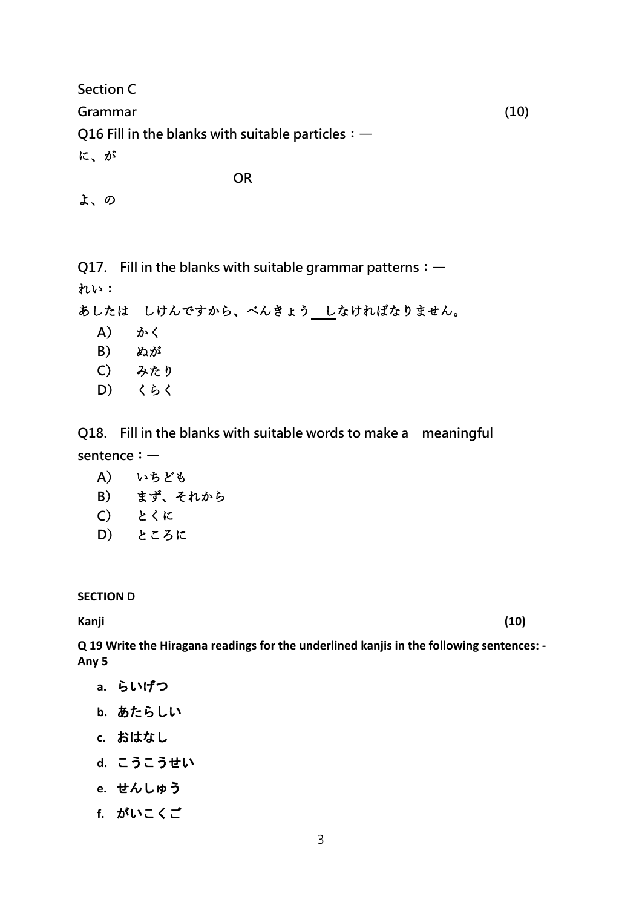**Section C Grammar (10) Q16 Fill in the blanks with suitable particles**:― に、が

**OR**

| u |
|---|
|   |

**Q17. Fill in the blanks with suitable grammar patterns**:―

れい:

あしたは しけんですから、べんきょう しなければなりません。

- **A**) かく
- **B**) ぬが
- **C**) みたり
- **D**) くらく

**Q18. Fill in the blanks with suitable words to make a meaningful sentence**:―

- **A**) いちども
- **B**) まず、それから
- **C**) とくに
- **D**) ところに

**SECTION D**

**Kanji (10)**

**Q 19 Write the Hiragana readings for the underlined kanjis in the following sentences: - Any 5**

- **a.** らいげつ
- **b.** あたらしい
- **c.** おはなし
- **d.** こうこうせい
- **e.** せんしゅう
- **f.** がいこくご